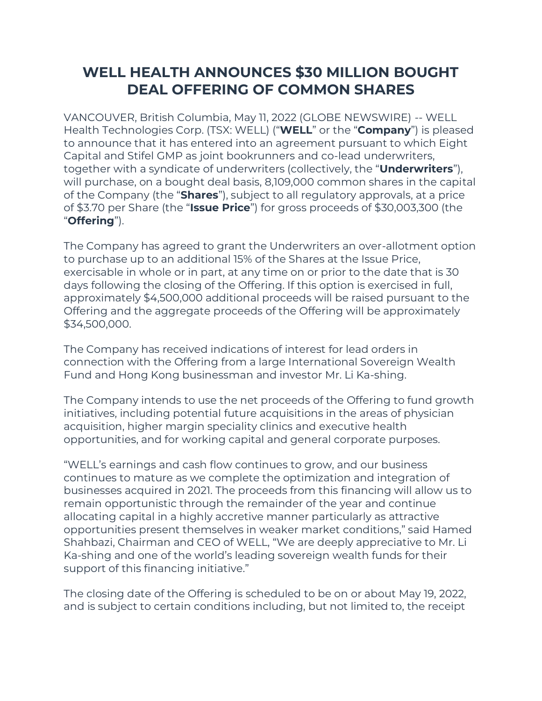# **WELL HEALTH ANNOUNCES \$30 MILLION BOUGHT DEAL OFFERING OF COMMON SHARES**

VANCOUVER, British Columbia, May 11, 2022 (GLOBE NEWSWIRE) -- WELL Health Technologies Corp. (TSX: WELL) ("**WELL**" or the "**Company**") is pleased to announce that it has entered into an agreement pursuant to which Eight Capital and Stifel GMP as joint bookrunners and co-lead underwriters, together with a syndicate of underwriters (collectively, the "**Underwriters**"), will purchase, on a bought deal basis, 8,109,000 common shares in the capital of the Company (the "**Shares**"), subject to all regulatory approvals, at a price of \$3.70 per Share (the "**Issue Price**") for gross proceeds of \$30,003,300 (the "**Offering**").

The Company has agreed to grant the Underwriters an over-allotment option to purchase up to an additional 15% of the Shares at the Issue Price, exercisable in whole or in part, at any time on or prior to the date that is 30 days following the closing of the Offering. If this option is exercised in full, approximately \$4,500,000 additional proceeds will be raised pursuant to the Offering and the aggregate proceeds of the Offering will be approximately \$34,500,000.

The Company has received indications of interest for lead orders in connection with the Offering from a large International Sovereign Wealth Fund and Hong Kong businessman and investor Mr. Li Ka-shing.

The Company intends to use the net proceeds of the Offering to fund growth initiatives, including potential future acquisitions in the areas of physician acquisition, higher margin speciality clinics and executive health opportunities, and for working capital and general corporate purposes.

"WELL's earnings and cash flow continues to grow, and our business continues to mature as we complete the optimization and integration of businesses acquired in 2021. The proceeds from this financing will allow us to remain opportunistic through the remainder of the year and continue allocating capital in a highly accretive manner particularly as attractive opportunities present themselves in weaker market conditions," said Hamed Shahbazi, Chairman and CEO of WELL, "We are deeply appreciative to Mr. Li Ka-shing and one of the world's leading sovereign wealth funds for their support of this financing initiative."

The closing date of the Offering is scheduled to be on or about May 19, 2022, and is subject to certain conditions including, but not limited to, the receipt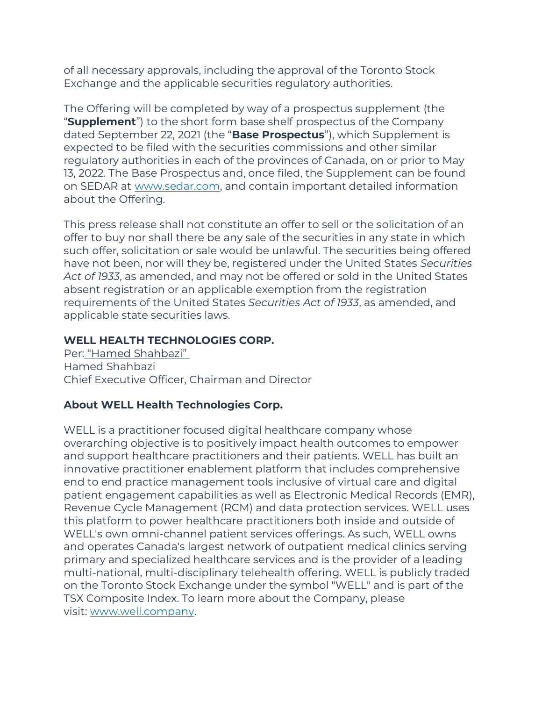of all necessary approvals, including the approval of the Toronto Stock Exchange and the applicable securities regulatory authorities.

The Offering will be completed by way of a prospectus supplement (the "**Supplement**") to the short form base shelf prospectus of the Company dated September 22, 2021 (the "**Base Prospectus**"), which Supplement is expected to be filed with the securities commissions and other similar regulatory authorities in each of the provinces of Canada, on or prior to May 13, 2022. The Base Prospectus and, once filed, the Supplement can be found on SEDAR at [www.sedar.com,](https://www.globenewswire.com/Tracker?data=1W_yrsjhmuknVJBE_alnADpXzpnxK16eYCqUl3e79SQGk2fw3G3RFpT-nLvDSxhHZfrkZw7eYxF7uHihVfuHtA==) and contain important detailed information about the Offering.

This press release shall not constitute an offer to sell or the solicitation of an offer to buy nor shall there be any sale of the securities in any state in which such offer, solicitation or sale would be unlawful. The securities being offered have not been, nor will they be, registered under the United States *Securities Act of 1933*, as amended, and may not be offered or sold in the United States absent registration or an applicable exemption from the registration requirements of the United States *Securities Act of 1933*, as amended, and applicable state securities laws.

# **WELL HEALTH TECHNOLOGIES CORP.**

Per: "Hamed Shahbazi" Hamed Shahbazi Chief Executive Officer, Chairman and Director

# **About WELL Health Technologies Corp.**

WELL is a practitioner focused digital healthcare company whose overarching objective is to positively impact health outcomes to empower and support healthcare practitioners and their patients. WELL has built an innovative practitioner enablement platform that includes comprehensive end to end practice management tools inclusive of virtual care and digital patient engagement capabilities as well as Electronic Medical Records (EMR), Revenue Cycle Management (RCM) and data protection services. WELL uses this platform to power healthcare practitioners both inside and outside of WELL's own omni-channel patient services offerings. As such, WELL owns and operates Canada's largest network of outpatient medical clinics serving primary and specialized healthcare services and is the provider of a leading multi-national, multi-disciplinary telehealth offering. WELL is publicly traded on the Toronto Stock Exchange under the symbol "WELL" and is part of the TSX Composite Index. To learn more about the Company, please visit: [www.well.company.](https://www.globenewswire.com/Tracker?data=cmRhCDnobBUYLOL2TUzJEPchfKrQdO-xkZ3phxEPHXPbViMSlSnBaGImRA2LRBueOV6952iUWnWZoQQvoH39RQ==)